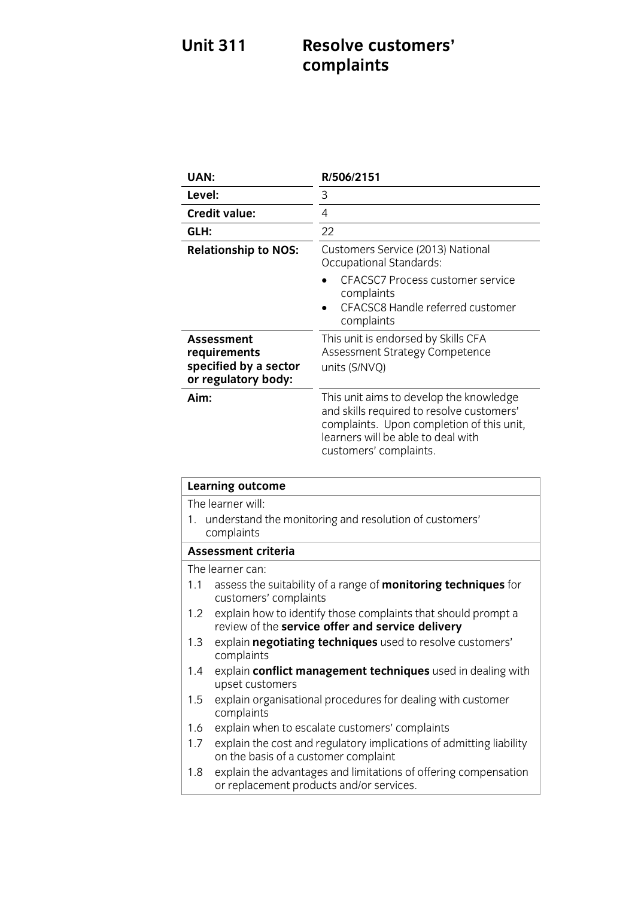### **Unit 311 Resolve customers' complaints**

| UAN:                                                                              | R/506/2151                                                                                                                                                                                        |
|-----------------------------------------------------------------------------------|---------------------------------------------------------------------------------------------------------------------------------------------------------------------------------------------------|
| Level:                                                                            | 3                                                                                                                                                                                                 |
| <b>Credit value:</b>                                                              | 4                                                                                                                                                                                                 |
| GLH:                                                                              | 22                                                                                                                                                                                                |
| <b>Relationship to NOS:</b>                                                       | Customers Service (2013) National<br><b>Occupational Standards:</b><br><b>CFACSC7 Process customer service</b><br>complaints<br>CFACSC8 Handle referred customer<br>complaints                    |
| <b>Assessment</b><br>requirements<br>specified by a sector<br>or regulatory body: | This unit is endorsed by Skills CFA<br>Assessment Strategy Competence<br>units (S/NVQ)                                                                                                            |
| Aim:                                                                              | This unit aims to develop the knowledge<br>and skills required to resolve customers'<br>complaints. Upon completion of this unit,<br>learners will be able to deal with<br>customers' complaints. |

| <b>Learning outcome</b>    |                                                                                                                   |
|----------------------------|-------------------------------------------------------------------------------------------------------------------|
| The learner will:          |                                                                                                                   |
|                            | 1. understand the monitoring and resolution of customers'<br>complaints                                           |
| <b>Assessment criteria</b> |                                                                                                                   |
|                            | The learner can:                                                                                                  |
| 1.1                        | assess the suitability of a range of <b>monitoring techniques</b> for<br>customers' complaints                    |
| 1.2                        | explain how to identify those complaints that should prompt a<br>review of the service offer and service delivery |
| 1.3                        | explain negotiating techniques used to resolve customers'<br>complaints                                           |
| 1.4                        | explain conflict management techniques used in dealing with<br>upset customers                                    |
| 1.5                        | explain organisational procedures for dealing with customer<br>complaints                                         |
| 1.6                        | explain when to escalate customers' complaints                                                                    |
| 1.7 <sup>2</sup>           | explain the cost and regulatory implications of admitting liability<br>on the basis of a customer complaint       |
| 1.8                        | explain the advantages and limitations of offering compensation<br>or replacement products and/or services.       |
|                            |                                                                                                                   |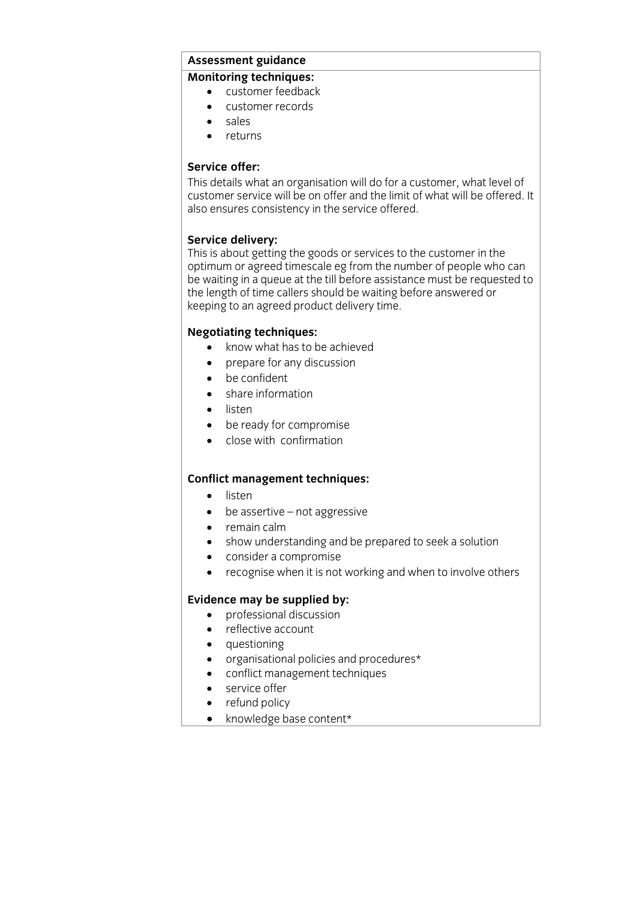### **Assessment guidance**

- customer feedback
	- customer records<br>• sales
	- sales<br>• returi
	- returns

**Service offer:**<br>This details what an organisation will do for a customer, what level of customer service will be on offer and the limit of what will be offered. It also ensures consistency in the service offered. also ensures consistency in the service offered.

**Service delivery:**<br>This is about getting the goods or services to the customer in the optimum or agreed timescale eg from the number of people who can be waiting in a queue at the till before assistance must be requested to the length of time callers should be waiting before answered or the length of time callers should be maining before answered to keeping to an agreed product delivery time.

- **Negotiation**<br> **Negotiation**<br> **A** *ntenate for any discussion* 
	- prepare for any discussion<br>• be confident
	- be confident
	- share information
	- listen
	- be ready for compromise
	- close with confirmation

### **Conflict management techniques:**

- listen
- be assertive not aggressive
- remain calm
- show understanding and be prepared to seek a solution
- consider a compromise
- recognise when it is not working and when to involve others

- **professional discussion** 
	- reflective account
	- questioning
	- organisational policies and procedures\*
	- conflict management techniques
	- service offer
	- refund policy<br>• knowledge ba
	- knowledge base content\*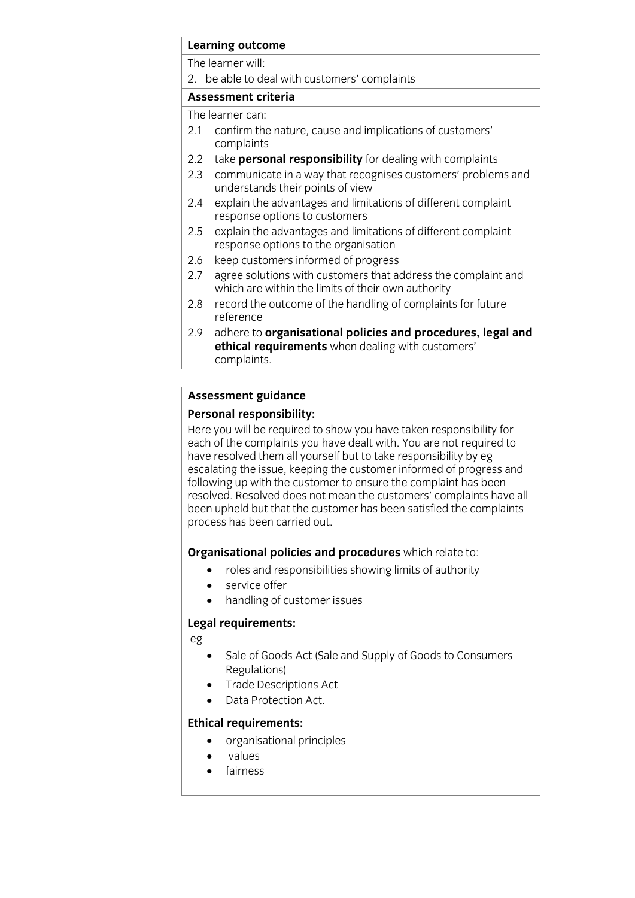## **Learning outcome**<br>The learner will:

2. be able to deal with customers' complaints

### Assessment criteria

The learner can:

- $21$  confirm the 2.1 confirm the nature, cause and implications of customers'
- complaints<br>2.2 take **personal responsibility** for dealing with complaints
- 2.3 communicate in a way that recognises customers' problems and understands their points of view
- $2.4$ explain the advantages and limitations of different complaint response options to customers
- explain the advantages and limitations of different complaint 2.5 explain the advantages and limitations<br>response options to the organisation
- 2.6 keep customers informed of progress
- 2.7 agree solutions with customers that address the complaint and which are within the limits of their own authority
- 2.8 record the outcome of the handling of complaints for future reference
- $2.9$ adhere to organisational policies and procedures, legal and **ethical requirements** when dealing with customers' complaints. complete the complete state of the complete state of the complete state of the complete state of the complete state of the complete state of the complete state of the complete state of the complete state of the complete st

# **Assessment guidance**

Here you will be required to show you have taken responsibility for each of the complaints you have dealt with. You are not required to have resolved them all yourself but to take responsibility by eg escalating the issue, keeping the customer informed of progress and following up with the customer to ensure the complaint has been resolved. Resolved does not mean the customers' complaints have all been upheld but that the customer has been satisfied the complaints process has been carried out. process has been carried out.

- **Cross and responsibilities showing limits of authority** 
	- service offer<br>• handling of c
	- handling of customer issues

### **Legal requirements:**

eg

- Sale of Goods Act (Sale and Supply of Goods to Consumers<br>Regulations)
- Trade Descriptions Act
- Data Protection Act.

- **Ethical requirements:**<br> **•** organisational principles
	- values
	- fairness